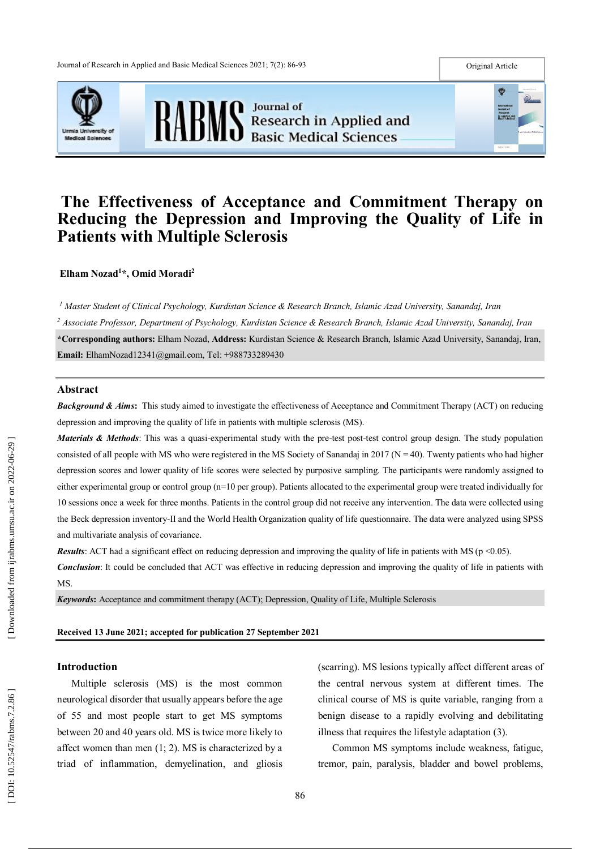



# **The Effectiveness of Acceptance and Commitment Therapy on Reducing the Depression and Improving the Quality of Life in Patients with Multiple Sclerosis**

**Elham Nozad 1 \*, Omid Moradi 2**

*<sup>1</sup> Master Student of Clinical Psychology, Kurdistan Science & Research Branch, Islamic Azad University, Sanandaj, Iran <sup>2</sup> Associate Professor, Department of Psychology, Kurdistan Science & Research Branch, Islamic Azad University, Sanandaj, Iran* **\*Corresponding authors :** Elham Nozad, **Address:** Kurdistan Science & Research Branch, Islamic Azad University, Sanandaj, Iran , **Email :** ElhamNozad12341@gmail.com, Tel: +988733289430

## **Abstract**

*Background & Aims*: This study aimed to investigate the effectiveness of Acceptance and Commitment Therapy (ACT) on reducing depression and improving the quality of life in patients with multiple sclerosis (MS).

Materials & Methods: This was a quasi-experimental study with the pre-test post-test control group design. The study population consisted of all people with MS who were registered in the MS Society of Sanandaj in 2017 ( $N = 40$ ). Twenty patients who had higher depression scores and lower quality of life scores were selected by purposive sampling . The participants were randomly assigned to either experimental group or control group (n=10 per group). Patients allocated to the experimental group were treated individually for 10 sessions once a week for three months. Patients in the control group did not receive any intervention. The data were collected using the Beck depression inventory -II and the World Health Organization quality of life questionnaire. The d ata were analyzed using SPSS and multivariate analysis of covariance.

**Results**: ACT had a significant effect on reducing depression and improving the quality of life in patients with MS ( $p \le 0.05$ ).

*Conclusion*: It could be concluded that ACT was effective in reducing depression and improving the quality of life in patients with MS.

*Keywords***:** Acceptance and commitment therapy (ACT) ; Depression, Quality of Life, Multiple Sclerosis

#### **Received 1 3 June 2021 ; accepted for publication 2 7 September 2021**

## **Introduction**

Multiple sclerosis (MS) is the most common neurological disorder that usually appears before the age of 55 and most people start to get MS symptoms between 20 and 40 years old. MS is twice more likely to affect women than men ( 1; 2). MS is characterized by a triad of inflammation, demyelination , and gliosis (scarring). MS lesions typically affect different areas of the central nervous system at different times. The clinical course of MS is quite variable, ranging from a benign disease to a rapidly evolving and debilitating illness that requires the lifestyle adaptation ( 3).

Common MS symptoms include weakness, fatigue, tremor, pain, paralysis, bladder and bowel problems,

Œ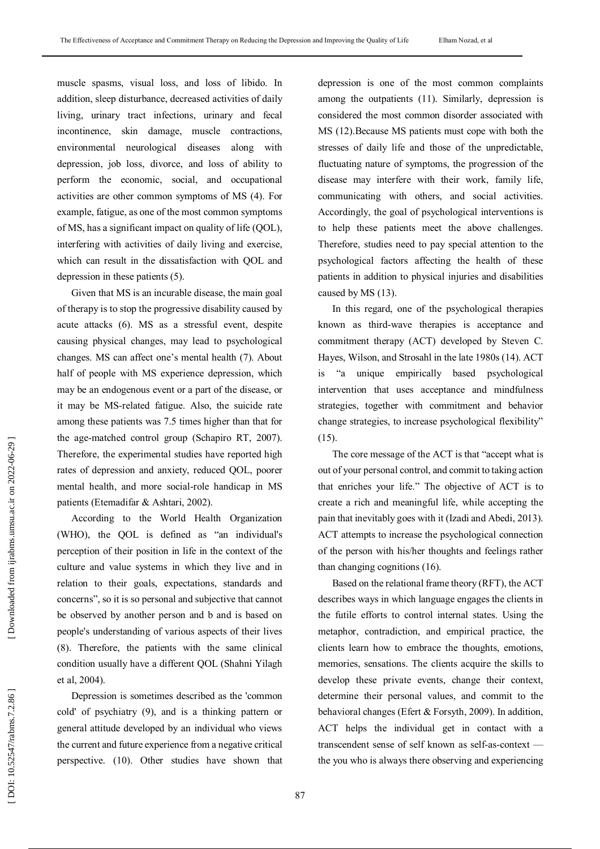muscle spasms, visual loss, and loss of libido. In addition, sleep disturbance, decreased activities of daily living, urinary tract infections, urinary and fecal incontinence, skin damage, muscle contractions, environmental neurological diseases along with depression, job loss, divorce, and loss of ability to perform the economic, social, and occupational activities are other common symptoms of MS ( 4). For example, fatigue, as one of the most common symptoms of MS, has a significant impact on quality of life (QOL), interfering with activities of daily living and exercise, which can result in the dissatisfaction with QOL and depression in these patients ( 5).

Given that MS is an incurable disease, the main goal of therapy is to stop the progressive disability caused by acute attacks ( 6). MS as a stressful event, despite causing physical changes, may lead to psychological changes. MS can affect one's mental health ( 7). About half of people with MS experience depression, which may be an endogenous event or a part of the disease, or it may be MS -related fatigue. Also, the suicide rate among these patients was 7.5 times higher than that for the age -matched control group (Schapiro RT, 2007). Therefore, the experimental studies have reported high rates of depression and anxiety, reduced QOL, poorer mental health , and more social -role handicap in MS patients (Etemadifar & Ashtari, 2002) .

According to the World Health Organization (WHO), the QOL is defined as "an individual's perception of their position in life in the context of the culture and value systems in which they live and in relation to their goals, expectations, standards and concerns", so it is so personal and subjective that cannot be observed by another person and b and is based on people's understanding of various aspects of their lives (8). Therefore, the patients with the same clinical condition usually have a different Q O L (Shahni Yilagh et al, 2004).

Depression is sometimes described as the 'common cold' of psychiatry ( 9), and is a thinking pattern or general attitude developed by an individual who views the current and future experience from a negative critical perspective. (10). Other studies have shown that

depression is one of the most common complaints among the outpatients (11). Similarly, depression is considered the most common disorder associated with MS (12).Because MS patients must cope with both the stresses of daily life and those of the unpredictable, fluctuating nature of symptoms, the progression of the disease may interfere with their work, family life, communicating with others, and social activities. Accordingly, the goal of psychological interventions is to help these patients meet the above challenges. Therefore, studies need to pay special attention to the psychological factors affecting the health of these patients in addition to physical injuries and disabilities caused by MS (13).

In this regard, one of the psychological therapies known as third -wave therapies is acceptance and commitment therapy (ACT) developed by Steven C. Hayes, Wilson, and Strosahl in the late 1980s (14). ACT is "a unique empirically based psychological intervention that uses acceptance and mindfulness strategies, together with commitment and behavior change strategies, to increase psychological flexibility" (15).

The core message of the ACT is that "accept what is out of your personal control, and commit to taking action that enriches your life. " The objective of ACT is to create a rich and meaningful life, while accepting the pain that inevitably goes with it (Izadi and Abedi, 2013). ACT attempts to increase the psychological connection of the person with his/her thoughts and feelings rather than changing cognitions (16).

Based on the relational frame theory (RFT), the ACT describes ways in which language engages the clients in the futile efforts to control internal states. Using the metaphor, contradiction, and empirical practice, the client s learn how to embrace the thoughts, emotions, memories, sensations. The clients acquire the skills to develop these private events, change their context, determine their personal values, and commit to the behavioral changes (Efert & Forsyth, 2009). In addition, ACT helps the individual get in contact with a transcendent sense of self known as self-as -context the you who is always there observing and experiencing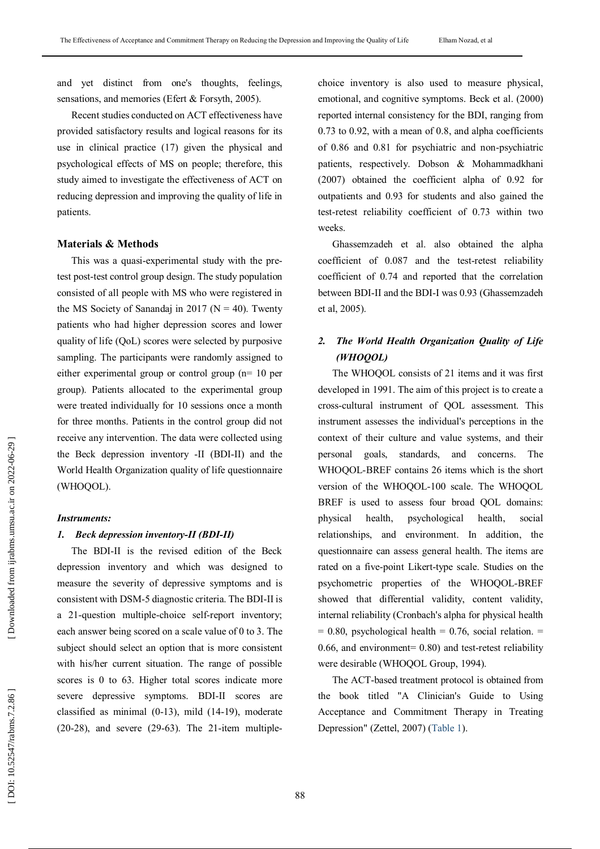and yet distinct from one's thoughts, feelings, sensations, and memories (Efert & Forsyth, 2005).

Recent studies conducted on ACT effectiveness have provided satisfactory results and logical reasons for its use in clinical practice (17) given the physical and psychological effects of MS on people; therefore, this study aimed to investigate the effectiveness of ACT on reducing depression and improving the quality of life in patients .

## **Materials & Methods**

This was a quasi-experimental study with the pretest post -test control group design. The study population consisted of all people with MS who were registered in the MS Society of Sanandaj in 2017 ( $N = 40$ ). Twenty patients who had higher depression scores and lower quality of life (QoL) scores were selected by purposive sampling. The participants were randomly assigned to either experimental group or control group (n= 10 per group). Patients allocated to the experimental group were treated individually for 10 sessions once a month for three months. Patients in the control group did not receive any intervention. The data were collected using the Beck depression inventory - I I (BDI -II) and the World Health Organization quality of life questionnaire (WHOQOL).

## *Instruments :*

## *1 . Beck depression inventory -II (BDI-II)*

The BDI -II is the revised edition of the Beck depression inventory and which was designed to measure the severity of depressive symptoms and is consistent with DSM -5 diagnostic criteria. The BDI -II is a 21 -question multiple -choice self-report inventory; each answer being scored on a scale value of 0 to 3. The subject should select an option that is more consistent with his/her current situation. The range of possible scores is 0 to 63. Higher total scores indicate more severe depressive symptoms . BDI -II scores are classified as minimal (0 -13), mild (14 -19), moderate (20 -28), and severe (29 -63) . The 21 -item multiple -

choice inventory is also used to measure physical, emotional, and cognitive symptoms. Bec k et al. (2000) reported internal consistency for the BDI, ranging from 0.73 to 0.92, with a mean of 0.8, and alpha coefficients of 0.86 and 0.81 for psychiatric and non -psychiatric patients, respectively . Dobson & Mohammadkhani (2007) obtained the coefficient alpha of 0.92 for outpatients and 0.93 for students and also gained the test -retest reliability coefficient of 0.73 within two weeks .

Ghassemzadeh et al. also obtained the alpha coefficient of 0.087 and the test -retest reliability coefficient of 0.74 and reported that the correlation between BDI -II and the BDI -I was 0.93 (Ghassemzadeh et al, 2005 ) .

#### *2 . The World Health Organization Quality of Life (WHOQOL)*

The WHOQOL consists of 21 items and it was first developed in 1991. The aim of this project is to create a cross -cultural instrument of QOL assessment. This instrument assesses the individual's perceptions in the context of their culture and value systems, and their personal goals, standards, and concerns. The WHOQOL -BREF contains 26 items which is the short version of the WHOQOL -100 scale. The WHOQOL BREF is used to assess four broad Q OL domains: physical health, psychological health, social relationships, and environment. In addition, the questionnaire can assess general health. The items are rated on a five-point Likert-type scale. Studies on the psychometric properties of the WHOQOL -BREF showed that differential validity, content validity, internal reliability (Cronbach's alpha for physical health  $= 0.80$ , psychological health  $= 0.76$ , social relation.  $=$ 0.66, and environment= 0.80) and test-retest reliability were desirable (WHOQOL Group, 1994).

The ACT -based treatment protocol is obtained from the book titled "A Clinician's Guide to Using Acceptance and Commitment Therapy in Treating Depression" (Zettel, 2007) (Table 1).

88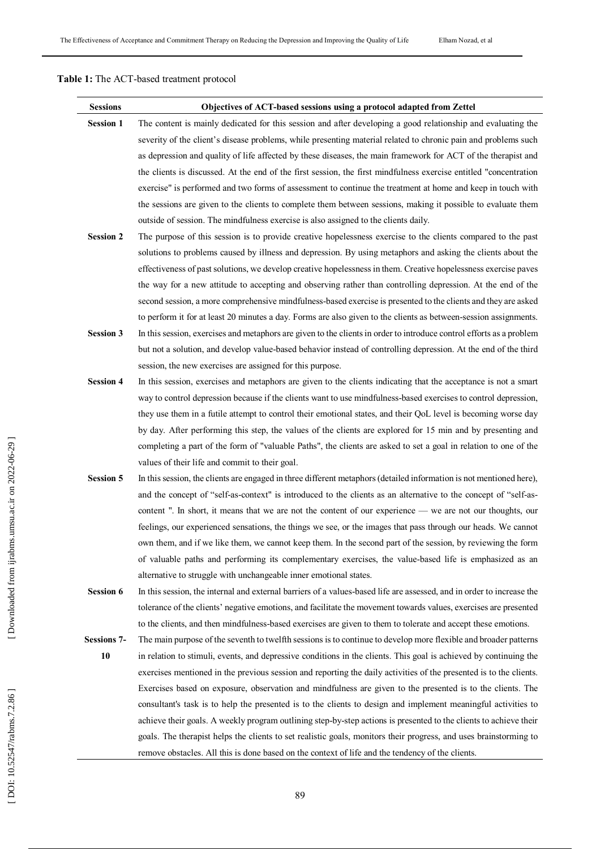## **Table 1 :** The ACT -based treatment protocol

| <b>Sessions</b>    | Objectives of ACT-based sessions using a protocol adapted from Zettel                                                 |
|--------------------|-----------------------------------------------------------------------------------------------------------------------|
| <b>Session 1</b>   | The content is mainly dedicated for this session and after developing a good relationship and evaluating the          |
|                    | severity of the client's disease problems, while presenting material related to chronic pain and problems such        |
|                    | as depression and quality of life affected by these diseases, the main framework for ACT of the therapist and         |
|                    | the clients is discussed. At the end of the first session, the first mindfulness exercise entitled "concentration     |
|                    | exercise" is performed and two forms of assessment to continue the treatment at home and keep in touch with           |
|                    | the sessions are given to the clients to complete them between sessions, making it possible to evaluate them          |
|                    | outside of session. The mindfulness exercise is also assigned to the clients daily.                                   |
| <b>Session 2</b>   | The purpose of this session is to provide creative hopelessness exercise to the clients compared to the past          |
|                    | solutions to problems caused by illness and depression. By using metaphors and asking the clients about the           |
|                    | effectiveness of past solutions, we develop creative hopelessness in them. Creative hopelessness exercise paves       |
|                    | the way for a new attitude to accepting and observing rather than controlling depression. At the end of the           |
|                    | second session, a more comprehensive mindfulness-based exercise is presented to the clients and they are asked        |
|                    | to perform it for at least 20 minutes a day. Forms are also given to the clients as between-session assignments.      |
| <b>Session 3</b>   | In this session, exercises and metaphors are given to the clients in order to introduce control efforts as a problem  |
|                    | but not a solution, and develop value-based behavior instead of controlling depression. At the end of the third       |
|                    | session, the new exercises are assigned for this purpose.                                                             |
| <b>Session 4</b>   | In this session, exercises and metaphors are given to the clients indicating that the acceptance is not a smart       |
|                    | way to control depression because if the clients want to use mindfulness-based exercises to control depression,       |
|                    | they use them in a futile attempt to control their emotional states, and their QoL level is becoming worse day        |
|                    | by day. After performing this step, the values of the clients are explored for 15 min and by presenting and           |
|                    | completing a part of the form of "valuable Paths", the clients are asked to set a goal in relation to one of the      |
|                    | values of their life and commit to their goal.                                                                        |
| <b>Session 5</b>   | In this session, the clients are engaged in three different metaphors (detailed information is not mentioned here),   |
|                    | and the concept of "self-as-context" is introduced to the clients as an alternative to the concept of "self-as-       |
|                    | content ". In short, it means that we are not the content of our experience — we are not our thoughts, our            |
|                    | feelings, our experienced sensations, the things we see, or the images that pass through our heads. We cannot         |
|                    | own them, and if we like them, we cannot keep them. In the second part of the session, by reviewing the form          |
|                    | of valuable paths and performing its complementary exercises, the value-based life is emphasized as an                |
|                    | alternative to struggle with unchangeable inner emotional states.                                                     |
| <b>Session 6</b>   | In this session, the internal and external barriers of a values-based life are assessed, and in order to increase the |
|                    | tolerance of the clients' negative emotions, and facilitate the movement towards values, exercises are presented      |
|                    | to the clients, and then mindfulness-based exercises are given to them to tolerate and accept these emotions.         |
| <b>Sessions 7-</b> | The main purpose of the seventh to twelfth sessions is to continue to develop more flexible and broader patterns      |
| 10                 | in relation to stimuli, events, and depressive conditions in the clients. This goal is achieved by continuing the     |
|                    | exercises mentioned in the previous session and reporting the daily activities of the presented is to the clients.    |
|                    | Exercises based on exposure, observation and mindfulness are given to the presented is to the clients. The            |
|                    | consultant's task is to help the presented is to the clients to design and implement meaningful activities to         |
|                    | achieve their goals. A weekly program outlining step-by-step actions is presented to the clients to achieve their     |
|                    | goals. The therapist helps the clients to set realistic goals, monitors their progress, and uses brainstorming to     |
|                    | remove obstacles. All this is done based on the context of life and the tendency of the clients.                      |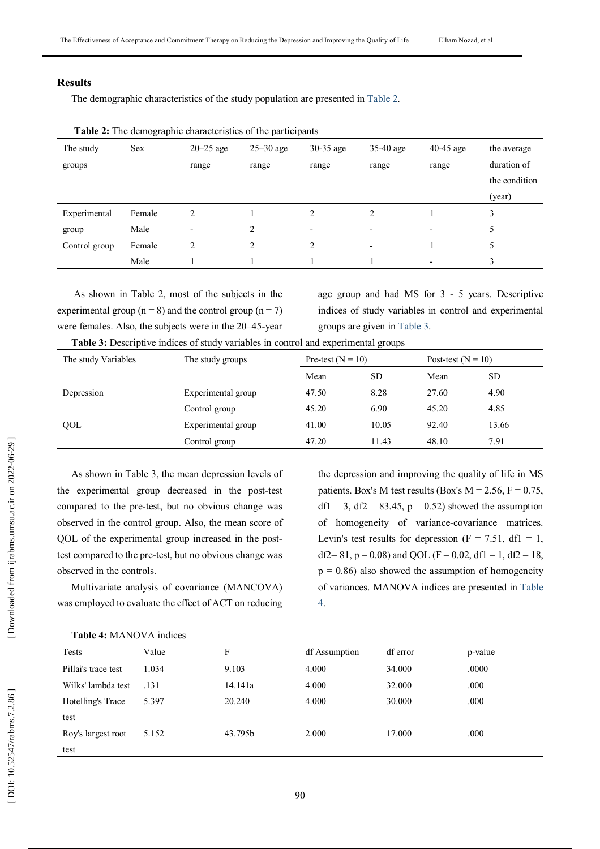# **Results**

The demographic characteristics of the study population are presented in Table 2 .

| The study     | <b>Sex</b> | $20-25$ age    | $25-30$ age | $30-35$ age | $35-40$ age              | $40-45$ age              | the average   |
|---------------|------------|----------------|-------------|-------------|--------------------------|--------------------------|---------------|
| groups        |            | range          | range       | range       | range                    | range                    | duration of   |
|               |            |                |             |             |                          |                          | the condition |
|               |            |                |             |             |                          |                          | (year)        |
| Experimental  | Female     | $\overline{2}$ |             | ↑           | 2                        |                          | 3             |
| group         | Male       | -              | 2           | ٠           | $\overline{\phantom{a}}$ | $\overline{\phantom{a}}$ | 5             |
| Control group | Female     | 2              | 2           | 2           | $\overline{\phantom{a}}$ |                          | 5             |
|               | Male       |                |             |             |                          | $\overline{\phantom{0}}$ | 3             |

|  | Table 2: The demographic characteristics of the participants |  |
|--|--------------------------------------------------------------|--|

As shown in Table 2, most of the subjects in the experimental group ( $n = 8$ ) and the control group ( $n = 7$ ) were females. Also, the subjects were in the 20–45-year

age group and had MS for 3 - 5 years. Descriptive indices of study variables in control and experimental groups are given in Table 3 .

**Table 3 :** Descriptive indices of study variables in control and experimental groups

| The study groups   | Pre-test ( $N = 10$ ) |           | Post-test $(N = 10)$ |           |
|--------------------|-----------------------|-----------|----------------------|-----------|
|                    | Mean                  | <b>SD</b> | Mean                 | <b>SD</b> |
| Experimental group | 47.50                 | 8.28      | 27.60                | 4.90      |
| Control group      | 45.20                 | 6.90      | 45.20                | 4.85      |
| Experimental group | 41.00                 | 10.05     | 92.40                | 13.66     |
| Control group      | 47.20                 | 11.43     | 48.10                | 7.91      |
|                    |                       |           |                      |           |

As shown in Table 3, the mean depression levels of the experimental group decreased in the post -test compared to the pre -test, but no obvious change was observed in the control group. Also, the mean score of QOL of the experimental group increased in the post test compared to the pre -test, but no obvious change was observed in the controls.

Multivariate analysis of covariance (MANCOVA) was employed to evaluate the effect of ACT on reducing

the depression and improving the quality of life in MS patients. Box's M test results (Box's  $M = 2.56$ ,  $F = 0.75$ ,  $df1 = 3$ ,  $df2 = 83.45$ ,  $p = 0.52$ ) showed the assumption of homogeneity of variance -covariance matrices. Levin's test results for depression  $(F = 7.51, df1 = 1,$ df2= 81, p = 0.08) and QOL (F = 0.02, df1 = 1, df2 = 18,  $p = 0.86$ ) also showed the assumption of homogeneity of variances. MANOVA indices are presented in Table 4.

| <b>Table 4: MANOVA indices</b> |       |         |               |          |         |  |
|--------------------------------|-------|---------|---------------|----------|---------|--|
| Tests                          | Value | F       | df Assumption | df error | p-value |  |
| Pillai's trace test            | 1.034 | 9.103   | 4.000         | 34.000   | .0000   |  |
| Wilks' lambda test             | .131  | 14.141a | 4.000         | 32.000   | .000    |  |
| Hotelling's Trace              | 5.397 | 20.240  | 4.000         | 30.000   | .000    |  |
| test                           |       |         |               |          |         |  |
| Roy's largest root             | 5.152 | 43.795b | 2.000         | 17.000   | .000    |  |
| test                           |       |         |               |          |         |  |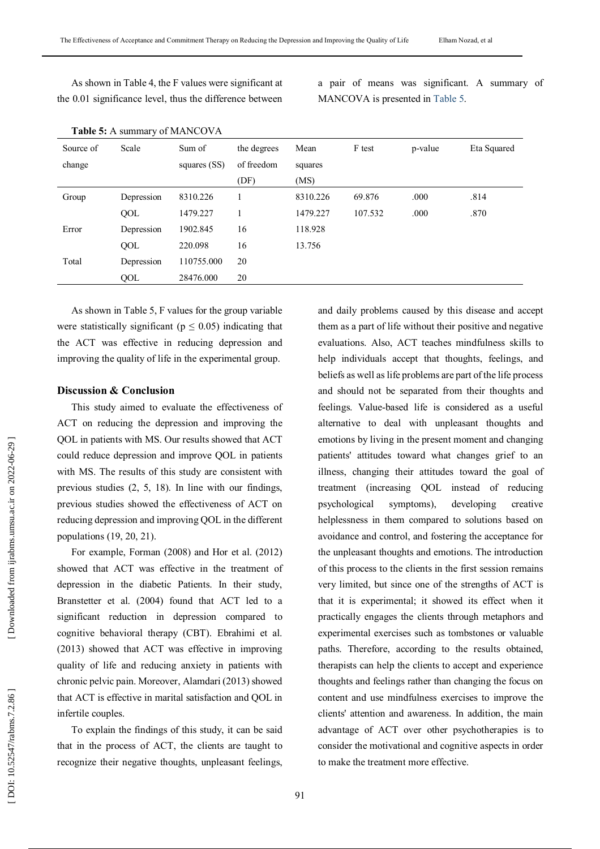As shown in Table 4, the F values were significant at the 0.01 significance level, thus the difference between a pair of means was significant. A summary of MANCOVA is presented in Table 5 .

| <b>Table 5:</b> A summary of MANCOVA |            |                |             |          |         |         |             |
|--------------------------------------|------------|----------------|-------------|----------|---------|---------|-------------|
| Source of                            | Scale      | Sum of         | the degrees | Mean     | F test  | p-value | Eta Squared |
| change                               |            | squares $(SS)$ | of freedom  | squares  |         |         |             |
|                                      |            |                | (DF)        | (MS)     |         |         |             |
| Group                                | Depression | 8310.226       |             | 8310.226 | 69.876  | .000    | .814        |
|                                      | QOL        | 1479.227       |             | 1479.227 | 107.532 | .000    | .870        |
| Error                                | Depression | 1902.845       | 16          | 118.928  |         |         |             |
|                                      | QOL        | 220.098        | 16          | 13.756   |         |         |             |
| Total                                | Depression | 110755.000     | 20          |          |         |         |             |
|                                      | QOL        | 28476.000      | 20          |          |         |         |             |

As shown in Table 5, F values for the group variable were statistically significant ( $p \le 0.05$ ) indicating that the ACT was effective in reducing depression and improving the quality of life in the experimental group.

## **Discussion & Conclusion**

This study aimed to evaluate the effectiveness of ACT on reducing the depression and improving the QOL in patients with MS. Our results showed that ACT could reduce depression and improve QOL in patients with MS. The results of this study are consistent with previous studies ( 2, 5, 18 ). In line with our findings, previous studies showed the effectiveness of ACT on reducing depression and improving QOL in the different populations (19 , 20, 21).

For example, Forman (2008) and Hor et al. (2012) showed that ACT was effective in the treatment of depression in the diabetic Patients. In their study, Branstetter et al. (2004) found that ACT led to a significant reduction in depression compared to cognitive behavioral therapy (CBT). Ebrahimi et al. (2013) showed that ACT was effective in improving quality of life and reducing anxiety in patients with chronic pelvic pain. Moreover, Alamdari (2013) showed that ACT is effective in marital satisfaction and QOL in infertile couples .

To explain the findings of this study, it can be said that in the process of ACT, the clients are taught to recognize their negative thoughts, unpleasant feelings ,

and daily problems caused by this disease and accept them as a part of life without their positive and negative evaluations. Also, ACT teaches mindfulness skills to help individuals accept that thoughts, feelings , and beliefs as well as life problems are part of the life process and should not be separated from their thoughts and feelings . Value -based life is considered as a useful alternative to deal with unpleasant thoughts and emotions by living in the present moment and changing patients' attitudes toward what changes grief to an illness, changing their attitudes toward the goal of treatment (increasing QOL instead of reducing psychological symptoms), developing creative helplessness in them compared to solutions based on avoidance and control, and fostering the acceptance for the unpleasant thoughts and emotions . The introduction of this process to the clients in the first session remains very limited, but since one of the strengths of ACT is that it is experimental; it showed its effect when it practically engages the clients through metaphors and experimental exercises such as tombstones or valuable paths. Therefore, according to the results obtained, therapists can help the clients to accept and experience thoughts and feelings rather than changing the focus on content and us e mindfulness exercises to improve the clients' attention and awareness . In addition, the main advantage of ACT over other psychotherapies is to consider the motivational and cognitive aspects in order to make the treatment more effective.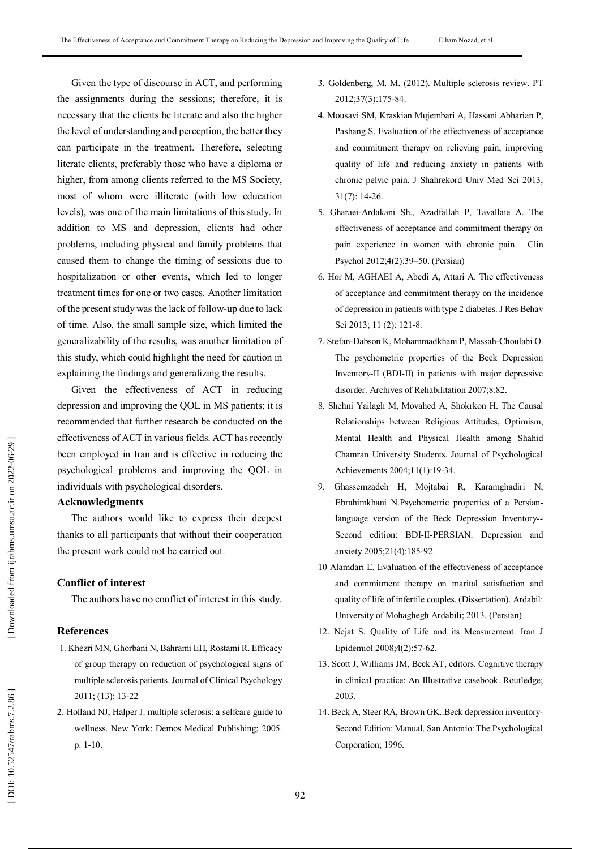Given the type of discourse in ACT, and performing the assignments during the sessions; therefore , it is necessary that the clients be literate and also the higher the level of understanding and perception, the better they can participate in the treatment. Therefore, selecting literate clients, preferably those who have a diploma or higher, from among clients referred to the MS Society, most of whom were illiterate (with low education levels), was one of the main limitations of this study. In addition to MS and depression, clients had other problems, including physical and family problems that caused them to change the timing of sessions due to hospitalization or other events, which led to longer treatment times for one or two cases. Another limitation of the present study was the lack of follow -up due to lack of time. Also, the small sample size, which limited the generalizability of the results, was another limitation of this study, which could highlight the need for caution in explaining the findings and generalizing the results.

Given the effectiveness of ACT in reducing depression and improving the QOL in MS patients ; it is recommended that further research be conducted on the effectiveness of ACT in various fields . ACT has recently been employed in Iran and is effective in reducing the psychological problems and improving the QOL in individuals with psychological disorders .

# **Acknowledgments**

The authors would like to express their deepest thanks to all participants that without their cooperation the present work could not be carried out.

# **Conflict of interest**

The authors have no conflict of interest in this study.

## **References**

- 1. Khezri MN, Ghorbani N, Bahrami EH, Rostami R. Efficacy of group therapy on reduction of psychological signs of multiple sclerosis patients. Journal of Clinical Psychology 2011; (13): 13 -22
- 2 . Holland NJ, Halper J. multiple sclerosis: a selfcare guide to wellness. New York: Demos Medical Publishing ; 2005. p. 1 -10.
- 3 . Goldenberg, M. M. (2012). Multiple sclerosis review. PT 2012;37(3):175 -84.
- 4 . Mousavi SM, Kraskian Mujembari A, Hassani Abharian P, Pashang S. Evaluation of the effectiveness of acceptance and commitment therapy on relieving pain, improving quality of life and reducing anxiety in patients with chronic pelvic pain. J Shahrekord Univ Med Sci 2013; 31(7): 14 -26.
- 5 . Gharaei -Ardakani Sh., Azadfallah P , Tavallaie A. The effectiveness of acceptance and commitment therapy on pain experience in women with chronic pain. Clin Psychol 2012;4(2):39 –50. ( Persian)
- 6 . Hor M, AGHAEI A, Abedi A, Attari A. The effectiveness of acceptance and commitment therapy on the incidence of depression in patients with type 2 diabetes. J Res Behav Sci 2013; 11 (2): 121-8.
- 7 . Stefan -Dabson K, Mohammadkhani P, Massah -Choulabi O. The psychometric properties of the Beck Depression Inventory-II (BDI -II) in patients with major depressive disorder. Archives of Rehabilitation 2007;8:82 .
- 8 . Shehni Yailagh M , Movahed A, Shokrkon H. The Causal Relationships between Religious Attitudes, Optimism, Mental Health and Physical Health among Shahid Chamran University Students. Journal of Psychological Achievements 2004;11(1):19 -34.
- $9<sub>1</sub>$ . Ghassemzadeh H, Mojtabai R, Karamghadiri N, Ebrahimkhani N.Psychometric properties of a Persian language version of the Beck Depression Inventory-- Second edition: BDI-II-PERSIAN. Depression and anxiety 2005;21(4):185 -92.
- 10 Alamdari E. Evaluation of the effectiveness of acceptance and commitment therapy on marital satisfaction and quality of life of infertile couples. (Dissertation ). Ardabil : University of Mohaghegh Ardabili ; 2013. (Persian)
- 12 . Nejat S. Quality of Life and its Measurement . Iran J Epidemiol 2008;4(2):57 -62.
- 13 . Scott J, Williams JM, Beck AT, editors. Cognitive therapy in clinical practice: An Illustrative casebook. Routledge; 2003 .
- 14. Beck A, Steer RA, Brown GK. Beck depression inventory-Second Edition: Manual. San Antonio: The Psychological Corporation; 1996 .